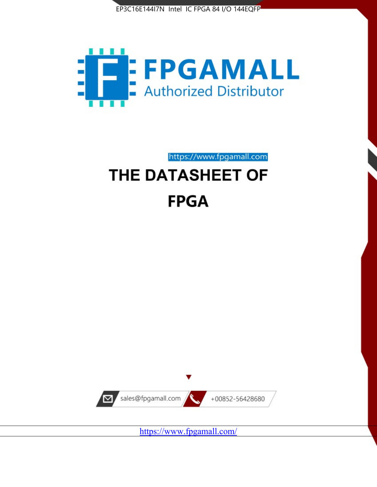



https://www.fpgamall.com

# THE DATASHEET OF **FPGA**



<https://www.fpgamall.com/>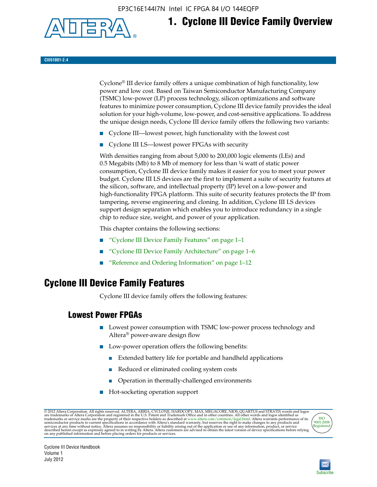EP3C16E144I7N Intel IC FPGA 84 I/O 144EQFP



# **1. Cyclone III Device Family Overview**

**CIII51001-2.4**

Cyclone® III device family offers a unique combination of high functionality, low power and low cost. Based on Taiwan Semiconductor Manufacturing Company (TSMC) low-power (LP) process technology, silicon optimizations and software features to minimize power consumption, Cyclone III device family provides the ideal solution for your high-volume, low-power, and cost-sensitive applications. To address the unique design needs, Cyclone III device family offers the following two variants:

- Cyclone III—lowest power, high functionality with the lowest cost
- Cyclone III LS—lowest power FPGAs with security

With densities ranging from about 5,000 to 200,000 logic elements (LEs) and 0.5 Megabits (Mb) to 8 Mb of memory for less than ¼ watt of static power consumption, Cyclone III device family makes it easier for you to meet your power budget. Cyclone III LS devices are the first to implement a suite of security features at the silicon, software, and intellectual property (IP) level on a low-power and high-functionality FPGA platform. This suite of security features protects the IP from tampering, reverse engineering and cloning. In addition, Cyclone III LS devices support design separation which enables you to introduce redundancy in a single chip to reduce size, weight, and power of your application.

This chapter contains the following sections:

- "Cyclone III Device Family Features" on page 1–1
- "Cyclone III Device Family Architecture" on page 1–6
- "Reference and Ordering Information" on page 1–12

### **Cyclone III Device Family Features**

Cyclone III device family offers the following features:

#### **Lowest Power FPGAs**

- Lowest power consumption with TSMC low-power process technology and Altera® power-aware design flow
- Low-power operation offers the following benefits:
	- Extended battery life for portable and handheld applications
	- Reduced or eliminated cooling system costs
	- Operation in thermally-challenged environments
- Hot-socketing operation support

@ 2012 Altera Corporation. All rights reserved. ALTERA, ARRIA, CYCLONE, HARDCOPY, MAX, MEGACORE, NIOS, QUARTUS and STRATIX words and logos are trademarks of Altera Corporation and registered in the U.S. Patent and Trademar



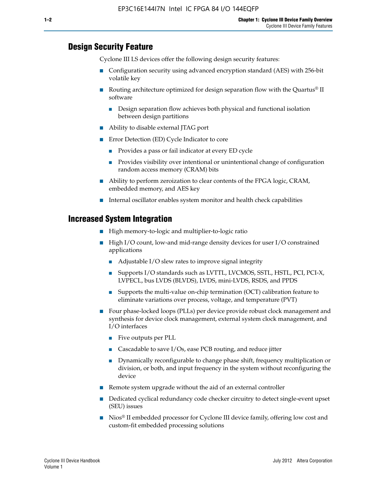#### **Design Security Feature**

Cyclone III LS devices offer the following design security features:

- Configuration security using advanced encryption standard (AES) with 256-bit volatile key
- **■** Routing architecture optimized for design separation flow with the Quartus<sup>®</sup> II software
	- Design separation flow achieves both physical and functional isolation between design partitions
- Ability to disable external JTAG port
- Error Detection (ED) Cycle Indicator to core
	- Provides a pass or fail indicator at every ED cycle
	- Provides visibility over intentional or unintentional change of configuration random access memory (CRAM) bits
- Ability to perform zeroization to clear contents of the FPGA logic, CRAM, embedded memory, and AES key
- Internal oscillator enables system monitor and health check capabilities

#### **Increased System Integration**

- High memory-to-logic and multiplier-to-logic ratio
- High I/O count, low-and mid-range density devices for user I/O constrained applications
	- Adjustable I/O slew rates to improve signal integrity
	- Supports I/O standards such as LVTTL, LVCMOS, SSTL, HSTL, PCI, PCI-X, LVPECL, bus LVDS (BLVDS), LVDS, mini-LVDS, RSDS, and PPDS
	- Supports the multi-value on-chip termination (OCT) calibration feature to eliminate variations over process, voltage, and temperature (PVT)
- Four phase-locked loops (PLLs) per device provide robust clock management and synthesis for device clock management, external system clock management, and I/O interfaces
	- Five outputs per PLL
	- Cascadable to save I/Os, ease PCB routing, and reduce jitter
	- Dynamically reconfigurable to change phase shift, frequency multiplication or division, or both, and input frequency in the system without reconfiguring the device
- Remote system upgrade without the aid of an external controller
- Dedicated cyclical redundancy code checker circuitry to detect single-event upset (SEU) issues
- Nios<sup>®</sup> II embedded processor for Cyclone III device family, offering low cost and custom-fit embedded processing solutions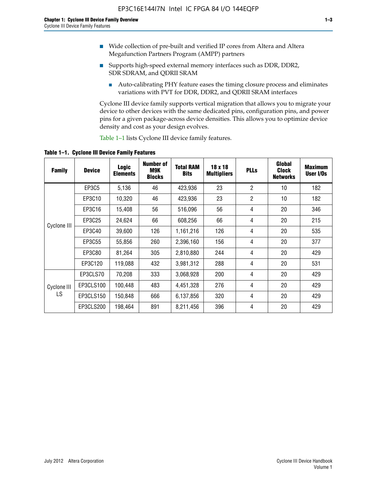- Wide collection of pre-built and verified IP cores from Altera and Altera Megafunction Partners Program (AMPP) partners
- Supports high-speed external memory interfaces such as DDR, DDR2, SDR SDRAM, and QDRII SRAM
	- Auto-calibrating PHY feature eases the timing closure process and eliminates variations with PVT for DDR, DDR2, and QDRII SRAM interfaces

Cyclone III device family supports vertical migration that allows you to migrate your device to other devices with the same dedicated pins, configuration pins, and power pins for a given package-across device densities. This allows you to optimize device density and cost as your design evolves.

Table 1–1 lists Cyclone III device family features.

**Table 1–1. Cyclone III Device Family Features**

| <b>Family</b> | <b>Device</b> | Logic<br><b>Elements</b> | <b>Number of</b><br>M9K<br><b>Blocks</b> | <b>Total RAM</b><br><b>Bits</b> | 18 x 18<br><b>Multipliers</b> | <b>PLLs</b>    | Global<br><b>Clock</b><br><b>Networks</b> | <b>Maximum</b><br>User I/Os |
|---------------|---------------|--------------------------|------------------------------------------|---------------------------------|-------------------------------|----------------|-------------------------------------------|-----------------------------|
|               | EP3C5         | 5,136                    | 46                                       | 423,936                         | 23                            | $\overline{2}$ | 10                                        | 182                         |
|               | EP3C10        | 10,320                   | 46                                       | 423,936                         | 23                            | $\overline{2}$ | 10                                        | 182                         |
|               | EP3C16        | 15,408                   | 56                                       | 516,096                         | 56                            | 4              | 20                                        | 346                         |
|               | EP3C25        | 24,624                   | 66                                       | 608,256                         | 66                            | 4              | 20                                        | 215                         |
| Cyclone III   | EP3C40        | 39,600                   | 126                                      | 1,161,216                       | 126                           | 4              | 20                                        | 535                         |
|               | EP3C55        | 55,856                   | 260                                      | 2,396,160                       | 156                           | 4              | 20                                        | 377                         |
|               | EP3C80        | 81,264                   | 305                                      | 2,810,880                       | 244                           | 4              | 20                                        | 429                         |
|               | EP3C120       | 119,088                  | 432                                      | 3,981,312                       | 288                           | 4              | 20                                        | 531                         |
|               | EP3CLS70      | 70,208                   | 333                                      | 3,068,928                       | 200                           | 4              | 20                                        | 429                         |
| Cyclone III   | EP3CLS100     | 100,448                  | 483                                      | 4,451,328                       | 276                           | 4              | 20                                        | 429                         |
| LS            | EP3CLS150     | 150,848                  | 666                                      | 6,137,856                       | 320                           | 4              | 20                                        | 429                         |
|               | EP3CLS200     | 198,464                  | 891                                      | 8,211,456                       | 396                           | 4              | 20                                        | 429                         |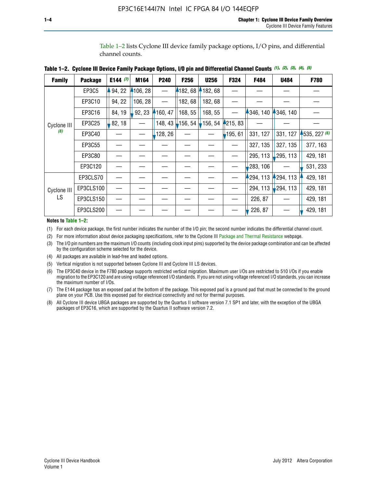Table 1–2 lists Cyclone III device family package options, I/O pins, and differential channel counts.

| Table 1–2.  Cyclone III Device Family Package Options, I/O pin and Differential Channel Counts (1), (2), (3), (4), (5) |  |  |
|------------------------------------------------------------------------------------------------------------------------|--|--|
|------------------------------------------------------------------------------------------------------------------------|--|--|

| <b>Family</b>      | <b>Package</b> | E144 $(7)$ | M164     | P240    | <b>F256</b> | <b>U256</b> | F324    | F484     | <b>U484</b> | F780           |
|--------------------|----------------|------------|----------|---------|-------------|-------------|---------|----------|-------------|----------------|
|                    | EP3C5          | 94, 22     | 4106, 28 |         | 4182,68     | 182,68      |         |          |             |                |
|                    | EP3C10         | 94, 22     | 106, 28  |         | 182, 68     | 182, 68     |         |          |             |                |
|                    | EP3C16         | 84, 19     | 92, 23   | 160, 47 | 168, 55     | 168, 55     |         | 346, 140 | 4346, 140   |                |
| Cyclone III<br>(8) | EP3C25         | 82, 18     |          | 148, 43 | $-156, 54$  | 156, 54     | 215, 83 |          |             |                |
|                    | EP3C40         |            |          | 128, 26 |             |             | 195, 61 | 331, 127 | 331, 127    | $-535, 227(6)$ |
|                    | EP3C55         |            |          |         |             |             |         | 327, 135 | 327, 135    | 377, 163       |
|                    | EP3C80         |            |          |         |             |             |         | 295, 113 | ,295, 113   | 429, 181       |
|                    | EP3C120        |            |          |         |             |             |         | 283, 106 |             | 531, 233       |
|                    | EP3CLS70       |            |          |         |             |             |         | 294, 113 | $-294, 113$ | 429, 181       |
| Cyclone III<br>LS  | EP3CLS100      |            |          |         |             |             |         | 294, 113 | 294, 113    | 429, 181       |
|                    | EP3CLS150      |            |          |         |             |             |         | 226, 87  |             | 429, 181       |
|                    | EP3CLS200      |            |          |         |             |             |         | 226, 87  |             | 429, 181       |

**Notes to Table 1–2:**

(1) For each device package, the first number indicates the number of the I/O pin; the second number indicates the differential channel count.

(2) For more information about device packaging specifications, refer to the Cyclone III [Package and Thermal Resistance](http://www.altera.com/support/devices/packaging/specifications/pkg-pin/dev-package-listing.jsp?device=Cyclone_III) webpage.

(3) The I/O pin numbers are the maximum I/O counts (including clock input pins) supported by the device package combination and can be affected by the configuration scheme selected for the device.

(4) All packages are available in lead-free and leaded options.

(5) Vertical migration is not supported between Cyclone III and Cyclone III LS devices.

(6) The EP3C40 device in the F780 package supports restricted vertical migration. Maximum user I/Os are restricted to 510 I/Os if you enable migration to the EP3C120 and are using voltage referenced I/O standards. If you are not using voltage referenced I/O standards, you can increase the maximum number of I/Os.

(7) The E144 package has an exposed pad at the bottom of the package. This exposed pad is a ground pad that must be connected to the ground plane on your PCB. Use this exposed pad for electrical connectivity and not for thermal purposes.

(8) All Cyclone III device UBGA packages are supported by the Quartus II software version 7.1 SP1 and later, with the exception of the UBGA packages of EP3C16, which are supported by the Quartus II software version 7.2.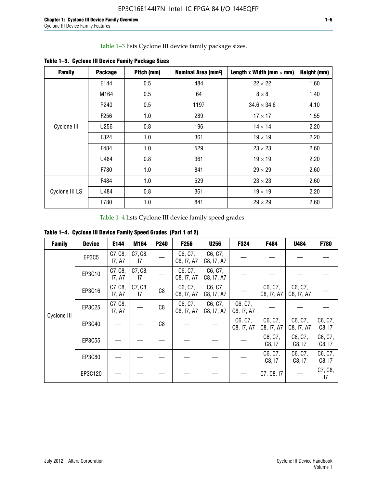Table 1–3 lists Cyclone III device family package sizes.

| <b>Family</b>  | <b>Package</b>   | Pitch (mm) | Nominal Area (mm <sup>2</sup> ) | Length x Width (mm $\times$ mm) | Height (mm) |
|----------------|------------------|------------|---------------------------------|---------------------------------|-------------|
|                | E144             | 0.5        | 484                             | $22 \times 22$                  | 1.60        |
|                | M164             | 0.5        | 64                              | $8 \times 8$                    | 1.40        |
|                | P <sub>240</sub> | 0.5        | 1197                            | $34.6 \times 34.6$              | 4.10        |
| Cyclone III    | F <sub>256</sub> | 1.0        | 289                             | $17 \times 17$                  | 1.55        |
|                | U256             | 0.8        | 196                             | $14 \times 14$                  | 2.20        |
|                | F324             | 1.0        | 361                             | $19 \times 19$                  | 2.20        |
|                | F484             | 1.0        | 529                             | $23 \times 23$                  | 2.60        |
|                | U484             | 0.8        | 361                             | $19 \times 19$                  | 2.20        |
|                | F780             | 1.0        | 841                             | $29 \times 29$                  | 2.60        |
|                | F484             | 1.0        | 529                             | $23 \times 23$                  | 2.60        |
| Cyclone III LS | U484             | 0.8        | 361                             | $19 \times 19$                  | 2.20        |
|                | F780             | 1.0        | 841                             | $29 \times 29$                  | 2.60        |

**Table 1–3. Cyclone III Device Family Package Sizes**

Table 1–4 lists Cyclone III device family speed grades.

**Table 1–4. Cyclone III Device Family Speed Grades (Part 1 of 2)**

| <b>Family</b> | <b>Device</b> | E144              | M164          | <b>P240</b> | F <sub>256</sub>      | <b>U256</b>           | F324                  | F484                  | U484                  | <b>F780</b>       |
|---------------|---------------|-------------------|---------------|-------------|-----------------------|-----------------------|-----------------------|-----------------------|-----------------------|-------------------|
| Cyclone III   | <b>EP3C5</b>  | C7, C8,<br>17, A7 | C7, C8,<br>17 |             | C6, C7,<br>C8, I7, A7 | C6, C7,<br>C8, I7, A7 |                       |                       |                       |                   |
|               | EP3C10        | C7, C8,<br>17, A7 | C7, C8,<br>17 |             | C6, C7,<br>C8, I7, A7 | C6, C7,<br>C8, I7, A7 |                       |                       |                       |                   |
|               | EP3C16        | C7, C8,<br>17, A7 | C7, C8,<br>17 | C8          | C6, C7,<br>C8, I7, A7 | C6, C7,<br>C8, I7, A7 |                       | C6, C7,<br>C8, I7, A7 | C6, C7,<br>C8, I7, A7 |                   |
|               | EP3C25        | C7, C8,<br>17, A7 |               | C8          | C6, C7,<br>C8, I7, A7 | C6, C7,<br>C8, I7, A7 | C6, C7,<br>C8, I7, A7 |                       |                       |                   |
|               | EP3C40        |                   |               | C8          |                       |                       | C6, C7,<br>C8, I7, A7 | C6, C7,<br>C8, I7, A7 | C6, C7,<br>C8, I7, A7 | C6, C7,<br>C8, 17 |
|               | EP3C55        |                   |               |             |                       |                       |                       | C6, C7,<br>C8, 17     | C6, C7,<br>C8, 17     | C6, C7,<br>C8, 17 |
|               | EP3C80        |                   |               |             |                       |                       |                       | C6, C7,<br>C8, 17     | C6, C7,<br>C8, 17     | C6, C7,<br>C8, 17 |
|               | EP3C120       |                   |               |             |                       |                       |                       | C7, C8, I7            |                       | C7, C8,<br>17     |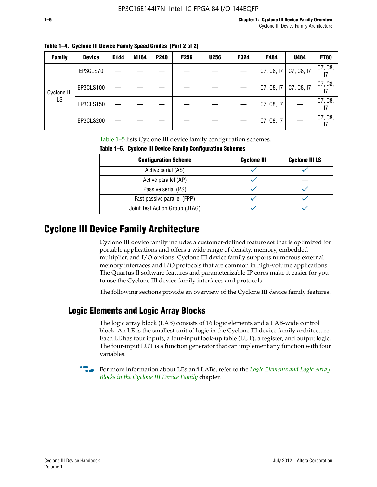|  | Table 1–4. Cyclone III Device Family Speed Grades (Part 2 of 2) |  |
|--|-----------------------------------------------------------------|--|
|--|-----------------------------------------------------------------|--|

| <b>Family</b> | <b>Device</b> | E144 | M164 | <b>P240</b> | <b>F256</b> | <b>U256</b> | F324 | F484       | U484       | <b>F780</b> |
|---------------|---------------|------|------|-------------|-------------|-------------|------|------------|------------|-------------|
| Cyclone III   | EP3CLS70      |      |      |             |             |             |      | C7, C8, 17 | C7, C8, I7 | C7, C8,     |
|               | EP3CLS100     |      |      |             |             |             |      | C7, C8, I7 | C7, C8, I7 | C7, C8,     |
| LS            | EP3CLS150     |      |      |             |             |             |      | C7, C8, I7 |            | C7, C8,     |
|               | EP3CLS200     |      |      |             |             |             |      | C7, C8, I7 |            | C7, C8,     |

Table 1–5 lists Cyclone III device family configuration schemes.

| TABLE 1-9. CYCLUILE III DEVICE FAILIIIY CUILILYULALIUII SCIIEIIIES |                    |                       |  |  |  |  |
|--------------------------------------------------------------------|--------------------|-----------------------|--|--|--|--|
| <b>Configuration Scheme</b>                                        | <b>Cyclone III</b> | <b>Cyclone III LS</b> |  |  |  |  |
| Active serial (AS)                                                 |                    |                       |  |  |  |  |
| Active parallel (AP)                                               |                    |                       |  |  |  |  |
| Passive serial (PS)                                                |                    |                       |  |  |  |  |
| Fast passive parallel (FPP)                                        |                    |                       |  |  |  |  |
| Joint Test Action Group (JTAG)                                     |                    |                       |  |  |  |  |

**Table 1–5. Cyclone III Device Family Configuration Schemes**

## **Cyclone III Device Family Architecture**

Cyclone III device family includes a customer-defined feature set that is optimized for portable applications and offers a wide range of density, memory, embedded multiplier, and I/O options. Cyclone III device family supports numerous external memory interfaces and I/O protocols that are common in high-volume applications. The Quartus II software features and parameterizable IP cores make it easier for you to use the Cyclone III device family interfaces and protocols.

The following sections provide an overview of the Cyclone III device family features.

#### **Logic Elements and Logic Array Blocks**

The logic array block (LAB) consists of 16 logic elements and a LAB-wide control block. An LE is the smallest unit of logic in the Cyclone III device family architecture. Each LE has four inputs, a four-input look-up table (LUT), a register, and output logic. The four-input LUT is a function generator that can implement any function with four variables.

f For more information about LEs and LABs, refer to the *[Logic Elements and Logic Array](http://www.altera.com/literature/hb/cyc3/cyc3_ciii51002.pdf)  [Blocks in the Cyclone III Device Family](http://www.altera.com/literature/hb/cyc3/cyc3_ciii51002.pdf)* chapter.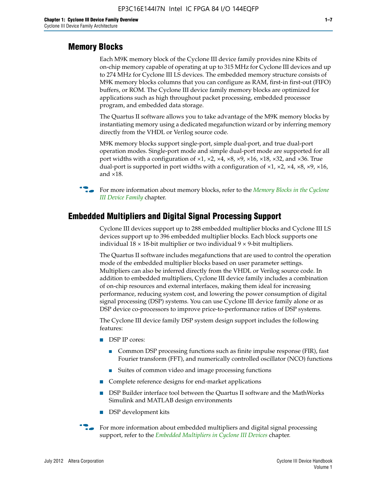#### **Memory Blocks**

Each M9K memory block of the Cyclone III device family provides nine Kbits of on-chip memory capable of operating at up to 315 MHz for Cyclone III devices and up to 274 MHz for Cyclone III LS devices. The embedded memory structure consists of M9K memory blocks columns that you can configure as RAM, first-in first-out (FIFO) buffers, or ROM. The Cyclone III device family memory blocks are optimized for applications such as high throughout packet processing, embedded processor program, and embedded data storage.

The Quartus II software allows you to take advantage of the M9K memory blocks by instantiating memory using a dedicated megafunction wizard or by inferring memory directly from the VHDL or Verilog source code.

M9K memory blocks support single-port, simple dual-port, and true dual-port operation modes. Single-port mode and simple dual-port mode are supported for all port widths with a configuration of  $\times1$ ,  $\times2$ ,  $\times4$ ,  $\times8$ ,  $\times9$ ,  $\times16$ ,  $\times18$ ,  $\times32$ , and  $\times36$ . True dual-port is supported in port widths with a configuration of  $\times$ 1,  $\times$ 2,  $\times$ 4,  $\times$ 8,  $\times$ 9,  $\times$ 16, and ×18.



**For more information about memory blocks, refer to the** *Memory Blocks in the Cyclone [III Device Family](http://www.altera.com/literature/hb/cyc3/cyc3_ciii51004.pdf)* chapter.

#### **Embedded Multipliers and Digital Signal Processing Support**

Cyclone III devices support up to 288 embedded multiplier blocks and Cyclone III LS devices support up to 396 embedded multiplier blocks. Each block supports one individual  $18 \times 18$ -bit multiplier or two individual  $9 \times 9$ -bit multipliers.

The Quartus II software includes megafunctions that are used to control the operation mode of the embedded multiplier blocks based on user parameter settings. Multipliers can also be inferred directly from the VHDL or Verilog source code. In addition to embedded multipliers, Cyclone III device family includes a combination of on-chip resources and external interfaces, making them ideal for increasing performance, reducing system cost, and lowering the power consumption of digital signal processing (DSP) systems. You can use Cyclone III device family alone or as DSP device co-processors to improve price-to-performance ratios of DSP systems.

The Cyclone III device family DSP system design support includes the following features:

- DSP IP cores:
	- Common DSP processing functions such as finite impulse response (FIR), fast Fourier transform (FFT), and numerically controlled oscillator (NCO) functions
	- Suites of common video and image processing functions
- Complete reference designs for end-market applications
- DSP Builder interface tool between the Quartus II software and the MathWorks Simulink and MATLAB design environments
- DSP development kits
- For more information about embedded multipliers and digital signal processing support, refer to the *[Embedded Multipliers in Cyclone III Devices](http://www.altera.com/literature/hb/cyc3/cyc3_ciii51005.pdf)* chapter.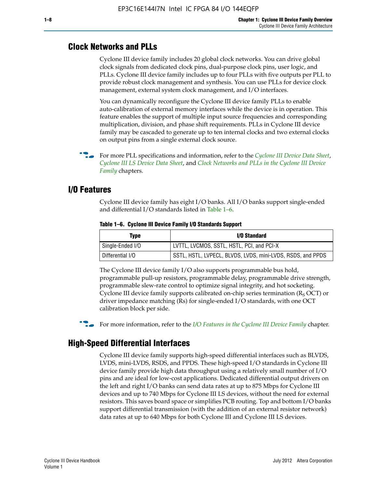#### **Clock Networks and PLLs**

Cyclone III device family includes 20 global clock networks. You can drive global clock signals from dedicated clock pins, dual-purpose clock pins, user logic, and PLLs. Cyclone III device family includes up to four PLLs with five outputs per PLL to provide robust clock management and synthesis. You can use PLLs for device clock management, external system clock management, and I/O interfaces.

You can dynamically reconfigure the Cyclone III device family PLLs to enable auto-calibration of external memory interfaces while the device is in operation. This feature enables the support of multiple input source frequencies and corresponding multiplication, division, and phase shift requirements. PLLs in Cyclone III device family may be cascaded to generate up to ten internal clocks and two external clocks on output pins from a single external clock source.

**For more PLL specifications and information, refer to the** *[Cyclone III Device Data Sheet](http://www.altera.com/literature/hb/cyc3/cyc3_ciii52001.pdf)***,** *[Cyclone III LS Device Data Sheet](http://www.altera.com/literature/hb/cyc3/cyc3_ciii52002.pdf)*, and *[Clock Networks and PLLs in the Cyclone III Device](http://www.altera.com/literature/hb/cyc3/cyc3_ciii51006.pdf)  [Family](http://www.altera.com/literature/hb/cyc3/cyc3_ciii51006.pdf)* chapters.

#### **I/O Features**

Cyclone III device family has eight I/O banks. All I/O banks support single-ended and differential I/O standards listed in Table 1–6.

| Type             | <b>I/O Standard</b>                                        |
|------------------|------------------------------------------------------------|
| Single-Ended I/O | LVTTL, LVCMOS, SSTL, HSTL, PCI, and PCI-X                  |
| Differential I/O | SSTL, HSTL, LVPECL, BLVDS, LVDS, mini-LVDS, RSDS, and PPDS |

**Table 1–6. Cyclone III Device Family I/O Standards Support** 

The Cyclone III device family I/O also supports programmable bus hold, programmable pull-up resistors, programmable delay, programmable drive strength, programmable slew-rate control to optimize signal integrity, and hot socketing. Cyclone III device family supports calibrated on-chip series termination ( $R_S$  OCT) or driver impedance matching (Rs) for single-ended I/O standards, with one OCT calibration block per side.

For more information, refer to the *[I/O Features in the Cyclone III Device Family](http://www.altera.com/literature/hb/cyc3/cyc3_ciii51007.pdf)* chapter.

#### **High-Speed Differential Interfaces**

Cyclone III device family supports high-speed differential interfaces such as BLVDS, LVDS, mini-LVDS, RSDS, and PPDS. These high-speed I/O standards in Cyclone III device family provide high data throughput using a relatively small number of I/O pins and are ideal for low-cost applications. Dedicated differential output drivers on the left and right I/O banks can send data rates at up to 875 Mbps for Cyclone III devices and up to 740 Mbps for Cyclone III LS devices, without the need for external resistors. This saves board space or simplifies PCB routing. Top and bottom I/O banks support differential transmission (with the addition of an external resistor network) data rates at up to 640 Mbps for both Cyclone III and Cyclone III LS devices.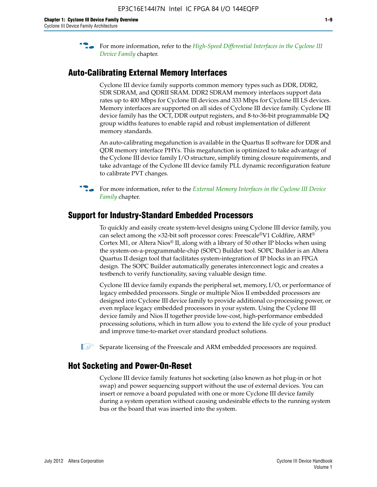**For more information, refer to the** *High-Speed Differential Interfaces in the Cyclone III* $\overline{a}$ *[Device Family](http://www.altera.com/literature/hb/cyc3/cyc3_ciii51008.pdf)* chapter.

#### **Auto-Calibrating External Memory Interfaces**

Cyclone III device family supports common memory types such as DDR, DDR2, SDR SDRAM, and QDRII SRAM. DDR2 SDRAM memory interfaces support data rates up to 400 Mbps for Cyclone III devices and 333 Mbps for Cyclone III LS devices. Memory interfaces are supported on all sides of Cyclone III device family. Cyclone III device family has the OCT, DDR output registers, and 8-to-36-bit programmable DQ group widths features to enable rapid and robust implementation of different memory standards.

An auto-calibrating megafunction is available in the Quartus II software for DDR and QDR memory interface PHYs. This megafunction is optimized to take advantage of the Cyclone III device family I/O structure, simplify timing closure requirements, and take advantage of the Cyclone III device family PLL dynamic reconfiguration feature to calibrate PVT changes.

**For more information, refer to the** *External Memory Interfaces in the Cyclone III Device [Family](http://www.altera.com/literature/hb/cyc3/cyc3_ciii51009.pdf)* chapter.

#### **Support for Industry-Standard Embedded Processors**

To quickly and easily create system-level designs using Cyclone III device family, you can select among the ×32-bit soft processor cores: Freescale®V1 Coldfire, ARM® Cortex M1, or Altera Nios® II, along with a library of 50 other IP blocks when using the system-on-a-programmable-chip (SOPC) Builder tool. SOPC Builder is an Altera Quartus II design tool that facilitates system-integration of IP blocks in an FPGA design. The SOPC Builder automatically generates interconnect logic and creates a testbench to verify functionality, saving valuable design time.

Cyclone III device family expands the peripheral set, memory, I/O, or performance of legacy embedded processors. Single or multiple Nios II embedded processors are designed into Cyclone III device family to provide additional co-processing power, or even replace legacy embedded processors in your system. Using the Cyclone III device family and Nios II together provide low-cost, high-performance embedded processing solutions, which in turn allow you to extend the life cycle of your product and improve time-to-market over standard product solutions.

 $\mathbb{I}$  Separate licensing of the Freescale and ARM embedded processors are required.

#### **Hot Socketing and Power-On-Reset**

Cyclone III device family features hot socketing (also known as hot plug-in or hot swap) and power sequencing support without the use of external devices. You can insert or remove a board populated with one or more Cyclone III device family during a system operation without causing undesirable effects to the running system bus or the board that was inserted into the system.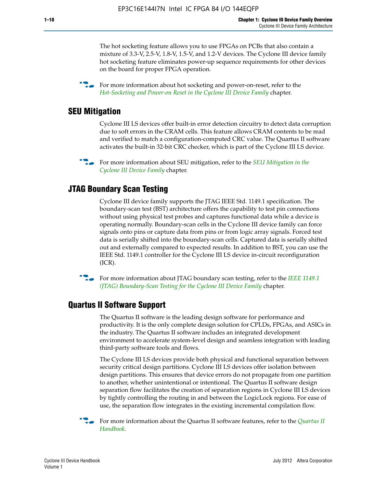The hot socketing feature allows you to use FPGAs on PCBs that also contain a mixture of 3.3-V, 2.5-V, 1.8-V, 1.5-V, and 1.2-V devices. The Cyclone III device family hot socketing feature eliminates power-up sequence requirements for other devices on the board for proper FPGA operation.

For more information about hot socketing and power-on-reset, refer to the *[Hot-Socketing and Power-on Reset in the Cyclone III Device Family](http://www.altera.com/literature/hb/cyc3/cyc3_ciii51011.pdf)* chapter.

#### **SEU Mitigation**

Cyclone III LS devices offer built-in error detection circuitry to detect data corruption due to soft errors in the CRAM cells. This feature allows CRAM contents to be read and verified to match a configuration-computed CRC value. The Quartus II software activates the built-in 32-bit CRC checker, which is part of the Cyclone III LS device.

**For more information about SEU mitigation, refer to the** *SEU Mitigation in the [Cyclone III Device Family](http://www.altera.com/literature/hb/cyc3/cyc3_ciii51013.pdf)* chapter.

#### **JTAG Boundary Scan Testing**

Cyclone III device family supports the JTAG IEEE Std. 1149.1 specification. The boundary-scan test (BST) architecture offers the capability to test pin connections without using physical test probes and captures functional data while a device is operating normally. Boundary-scan cells in the Cyclone III device family can force signals onto pins or capture data from pins or from logic array signals. Forced test data is serially shifted into the boundary-scan cells. Captured data is serially shifted out and externally compared to expected results. In addition to BST, you can use the IEEE Std. 1149.1 controller for the Cyclone III LS device in-circuit reconfiguration (ICR).

**f f**or more information about JTAG boundary scan testing, refer to the *IEEE* 1149.1 *[\(JTAG\) Boundary-Scan Testing for the Cyclone III Device Family](http://www.altera.com/literature/hb/cyc3/cyc3_ciii51014.pdf)* chapter.

#### **Quartus II Software Support**

The Quartus II software is the leading design software for performance and productivity. It is the only complete design solution for CPLDs, FPGAs, and ASICs in the industry. The Quartus II software includes an integrated development environment to accelerate system-level design and seamless integration with leading third-party software tools and flows.

The Cyclone III LS devices provide both physical and functional separation between security critical design partitions. Cyclone III LS devices offer isolation between design partitions. This ensures that device errors do not propagate from one partition to another, whether unintentional or intentional. The Quartus II software design separation flow facilitates the creation of separation regions in Cyclone III LS devices by tightly controlling the routing in and between the LogicLock regions. For ease of use, the separation flow integrates in the existing incremental compilation flow.

f For more information about the Quartus II software features, refer to the *[Quartus II](http://www.altera.com/literature/hb/qts/quartusii_handbook.pdf)  [Handbook](http://www.altera.com/literature/hb/qts/quartusii_handbook.pdf)*.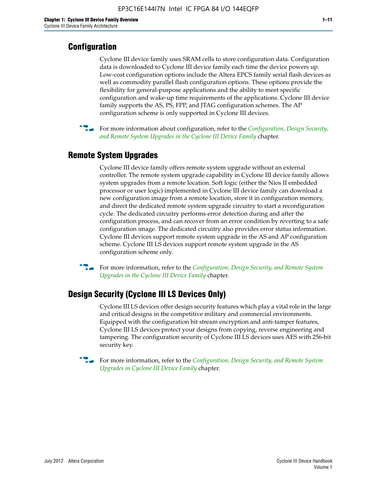#### **Configuration**

Cyclone III device family uses SRAM cells to store configuration data. Configuration data is downloaded to Cyclone III device family each time the device powers up. Low-cost configuration options include the Altera EPCS family serial flash devices as well as commodity parallel flash configuration options. These options provide the flexibility for general-purpose applications and the ability to meet specific configuration and wake-up time requirements of the applications. Cyclone III device family supports the AS, PS, FPP, and JTAG configuration schemes. The AP configuration scheme is only supported in Cyclone III devices.



f For more information about configuration, refer to the *[Configuration, Design Security,](http://www.altera.com/literature/hb/cyc3/cyc3_ciii51016.pdf)  [and Remote System Upgrades in the Cyclone III Device Family](http://www.altera.com/literature/hb/cyc3/cyc3_ciii51016.pdf)* chapter.

#### **Remote System Upgrades**

Cyclone III device family offers remote system upgrade without an external controller. The remote system upgrade capability in Cyclone III device family allows system upgrades from a remote location. Soft logic (either the Nios II embedded processor or user logic) implemented in Cyclone III device family can download a new configuration image from a remote location, store it in configuration memory, and direct the dedicated remote system upgrade circuitry to start a reconfiguration cycle. The dedicated circuitry performs error detection during and after the configuration process, and can recover from an error condition by reverting to a safe configuration image. The dedicated circuitry also provides error status information. Cyclone III devices support remote system upgrade in the AS and AP configuration scheme. Cyclone III LS devices support remote system upgrade in the AS configuration scheme only.

**For more information, refer to the** *Configuration, Design Security, and Remote System [Upgrades in the Cyclone III Device Family](http://www.altera.com/literature/hb/cyc3/cyc3_ciii51016.pdf)* chapter.

#### **Design Security (Cyclone III LS Devices Only)**

Cyclone III LS devices offer design security features which play a vital role in the large and critical designs in the competitive military and commercial environments. Equipped with the configuration bit stream encryption and anti-tamper features, Cyclone III LS devices protect your designs from copying, reverse engineering and tampering. The configuration security of Cyclone III LS devices uses AES with 256-bit security key.

f For more information, refer to the *[Configuration, Design Security, and Remote System](http://www.altera.com/literature/hb/cyc3/cyc3_ciii51016.pdf)  [Upgrades in Cyclone III Device Family](http://www.altera.com/literature/hb/cyc3/cyc3_ciii51016.pdf)* chapter.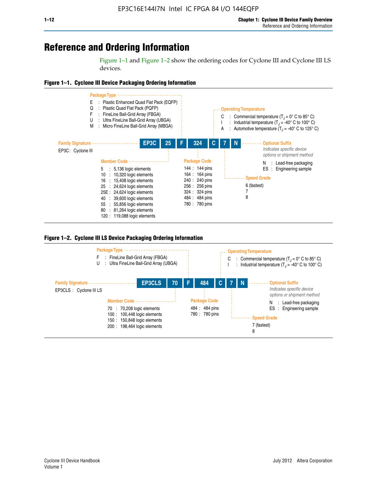## **Reference and Ordering Information**

Figure 1–1 and Figure 1–2 show the ordering codes for Cyclone III and Cyclone III LS devices.







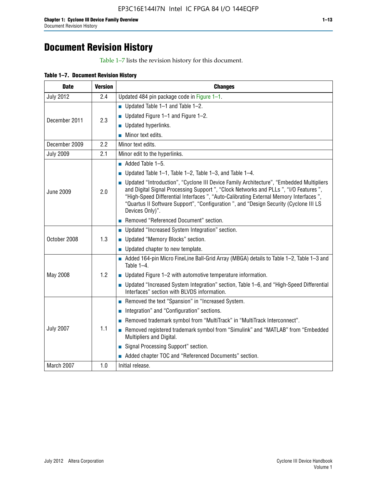# **Document Revision History**

Table 1–7 lists the revision history for this document.

| <b>Date</b>      | <b>Version</b> | <b>Changes</b>                                                                                                                                                                                                                                                                                                                                                                          |
|------------------|----------------|-----------------------------------------------------------------------------------------------------------------------------------------------------------------------------------------------------------------------------------------------------------------------------------------------------------------------------------------------------------------------------------------|
| <b>July 2012</b> | 2.4            | Updated 484 pin package code in Figure 1-1.                                                                                                                                                                                                                                                                                                                                             |
|                  |                | Updated Table $1-1$ and Table $1-2$ .                                                                                                                                                                                                                                                                                                                                                   |
| December 2011    | 2.3            | ■ Updated Figure $1-1$ and Figure $1-2$ .                                                                                                                                                                                                                                                                                                                                               |
|                  |                | Updated hyperlinks.                                                                                                                                                                                                                                                                                                                                                                     |
|                  |                | Minor text edits.                                                                                                                                                                                                                                                                                                                                                                       |
| December 2009    | 2.2            | Minor text edits.                                                                                                                                                                                                                                                                                                                                                                       |
| <b>July 2009</b> | 2.1            | Minor edit to the hyperlinks.                                                                                                                                                                                                                                                                                                                                                           |
|                  |                | $\blacksquare$ Added Table 1-5.                                                                                                                                                                                                                                                                                                                                                         |
|                  |                | Updated Table $1-1$ , Table $1-2$ , Table $1-3$ , and Table $1-4$ .                                                                                                                                                                                                                                                                                                                     |
| <b>June 2009</b> | 2.0            | • Updated "Introduction", "Cyclone III Device Family Architecture", "Embedded Multipliers<br>and Digital Signal Processing Support ", "Clock Networks and PLLs ", "I/O Features ",<br>"High-Speed Differential Interfaces ", "Auto-Calibrating External Memory Interfaces",<br>"Quartus II Software Support", "Configuration ", and "Design Security (Cyclone III LS<br>Devices Only)". |
|                  |                | Removed "Referenced Document" section.                                                                                                                                                                                                                                                                                                                                                  |
|                  |                | <b>Updated "Increased System Integration" section.</b>                                                                                                                                                                                                                                                                                                                                  |
| October 2008     | 1.3            | Updated "Memory Blocks" section.                                                                                                                                                                                                                                                                                                                                                        |
|                  |                | • Updated chapter to new template.                                                                                                                                                                                                                                                                                                                                                      |
|                  |                | Added 164-pin Micro FineLine Ball-Grid Array (MBGA) details to Table 1-2, Table 1-3 and<br>Table 1-4.                                                                                                                                                                                                                                                                                   |
| May 2008         | 1.2            | $\blacksquare$ Updated Figure 1-2 with automotive temperature information.                                                                                                                                                                                                                                                                                                              |
|                  |                | ■ Updated "Increased System Integration" section, Table 1–6, and "High-Speed Differential<br>Interfaces" section with BLVDS information.                                                                                                                                                                                                                                                |
|                  |                | Removed the text "Spansion" in "Increased System.                                                                                                                                                                                                                                                                                                                                       |
|                  |                | Integration" and "Configuration" sections.                                                                                                                                                                                                                                                                                                                                              |
|                  |                | Removed trademark symbol from "MultiTrack" in "MultiTrack Interconnect".                                                                                                                                                                                                                                                                                                                |
| <b>July 2007</b> | 1.1            | Removed registered trademark symbol from "Simulink" and "MATLAB" from "Embedded<br>Multipliers and Digital.                                                                                                                                                                                                                                                                             |
|                  |                | Signal Processing Support" section.                                                                                                                                                                                                                                                                                                                                                     |
|                  |                | Added chapter TOC and "Referenced Documents" section.                                                                                                                                                                                                                                                                                                                                   |
| March 2007       | 1.0            | Initial release.                                                                                                                                                                                                                                                                                                                                                                        |